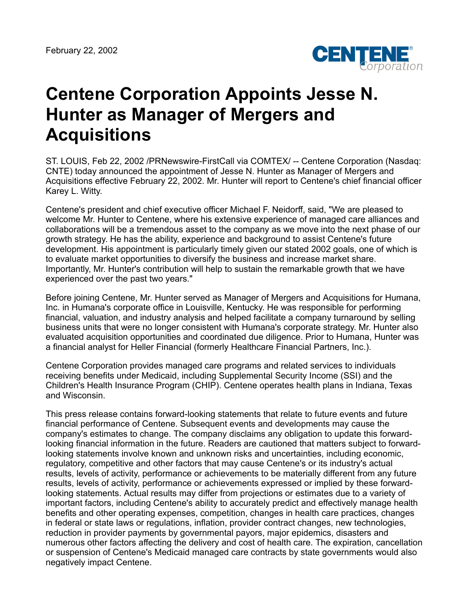

## **Centene Corporation Appoints Jesse N. Hunter as Manager of Mergers and Acquisitions**

ST. LOUIS, Feb 22, 2002 /PRNewswire-FirstCall via COMTEX/ -- Centene Corporation (Nasdaq: CNTE) today announced the appointment of Jesse N. Hunter as Manager of Mergers and Acquisitions effective February 22, 2002. Mr. Hunter will report to Centene's chief financial officer Karey L. Witty.

Centene's president and chief executive officer Michael F. Neidorff, said, "We are pleased to welcome Mr. Hunter to Centene, where his extensive experience of managed care alliances and collaborations will be a tremendous asset to the company as we move into the next phase of our growth strategy. He has the ability, experience and background to assist Centene's future development. His appointment is particularly timely given our stated 2002 goals, one of which is to evaluate market opportunities to diversify the business and increase market share. Importantly, Mr. Hunter's contribution will help to sustain the remarkable growth that we have experienced over the past two years."

Before joining Centene, Mr. Hunter served as Manager of Mergers and Acquisitions for Humana, Inc. in Humana's corporate office in Louisville, Kentucky. He was responsible for performing financial, valuation, and industry analysis and helped facilitate a company turnaround by selling business units that were no longer consistent with Humana's corporate strategy. Mr. Hunter also evaluated acquisition opportunities and coordinated due diligence. Prior to Humana, Hunter was a financial analyst for Heller Financial (formerly Healthcare Financial Partners, Inc.).

Centene Corporation provides managed care programs and related services to individuals receiving benefits under Medicaid, including Supplemental Security Income (SSI) and the Children's Health Insurance Program (CHIP). Centene operates health plans in Indiana, Texas and Wisconsin.

This press release contains forward-looking statements that relate to future events and future financial performance of Centene. Subsequent events and developments may cause the company's estimates to change. The company disclaims any obligation to update this forwardlooking financial information in the future. Readers are cautioned that matters subject to forwardlooking statements involve known and unknown risks and uncertainties, including economic, regulatory, competitive and other factors that may cause Centene's or its industry's actual results, levels of activity, performance or achievements to be materially different from any future results, levels of activity, performance or achievements expressed or implied by these forwardlooking statements. Actual results may differ from projections or estimates due to a variety of important factors, including Centene's ability to accurately predict and effectively manage health benefits and other operating expenses, competition, changes in health care practices, changes in federal or state laws or regulations, inflation, provider contract changes, new technologies, reduction in provider payments by governmental payors, major epidemics, disasters and numerous other factors affecting the delivery and cost of health care. The expiration, cancellation or suspension of Centene's Medicaid managed care contracts by state governments would also negatively impact Centene.